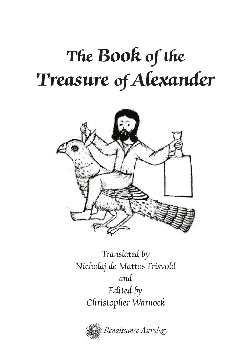

Translated by Nicholaj de Mattos Frisvold and Edited by Christopher Warnock

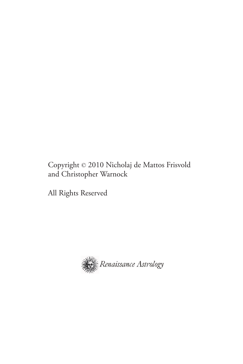#### Copyright © 2010 Nicholaj de Mattos Frisvold and Christopher Warnock

All Rights Reserved

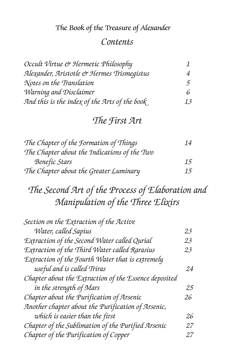#### *Contents*

| Occult Virtue & Hermetic Philosophy           |    |
|-----------------------------------------------|----|
| Alexander, Aristotle & Hermes Trismegistus    | 4  |
| Notes on the Translation                      | 5  |
| Warning and Disclaimer                        | 6  |
| And this is the index of the Arts of the book | 13 |

## *The First Art*

| The Chapter of the Formation of Things       | 14 |
|----------------------------------------------|----|
| The Chapter about the Indications of the Two |    |
| <b>Benefic Stars</b>                         | 15 |
| The Chapter about the Greater Luminary       | 15 |

# *The Second Art of the Process of Elaboration and Manipulation of the Three Elixirs*

| Section on the Extraction of the Active               |    |
|-------------------------------------------------------|----|
| Water, called Sapius                                  | 23 |
| Extraction of the Second Water called Qurial          | 23 |
| Extraction of the Third Water called Rarasius         | 23 |
| Extraction of the Fourth Water that is extremely      |    |
| useful and is called Triras                           | 24 |
| Chapter about the Extraction of the Essence deposited |    |
| in the strength of Mars                               | 25 |
| Chapter about the Purification of Arsenic             | 26 |
| Another chapter about the Purification of Arsenic,    |    |
| which is easier than the first                        | 26 |
| Chapter of the Sublimation of the Purified Arsenic    | 27 |
| Chapter of the Purification of Copper                 | 27 |
|                                                       |    |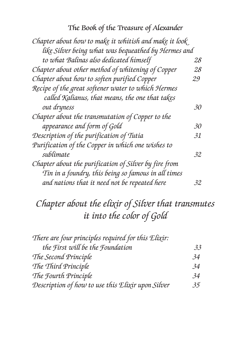| Chapter about how to make it whitish and make it look |    |
|-------------------------------------------------------|----|
| like Silver being what was bequeathed by Hermes and   |    |
| to what Balinas also dedicated himself                | 28 |
| Chapter about other method of whitening of Copper     | 28 |
| Chapter about how to soften purified Copper           | 29 |
| Recipe of the great softener water to which Hermes    |    |
| called Kalianus, that means, the one that takes       |    |
| out dryness                                           | 30 |
| Chapter about the transmutation of Copper to the      |    |
| appearance and form of Gold                           | 30 |
| Description of the purification of Tutia              | 31 |
| Purification of the Copper in which one wishes to     |    |
| sublimate                                             | 32 |
| Chapter about the purification of Silver by fire from |    |
| Tin in a foundry, this being so famous in all times   |    |
| and nations that it need not be repeated here         | 32 |

# *Chapter about the elixir of Silver that transmutes it into the color of Gold*

| There are four principles required for this Elixir: |    |
|-----------------------------------------------------|----|
| the First will be the Foundation                    | 33 |
| The Second Principle                                | 34 |
| The Third Principle                                 | 34 |
| The Fourth Principle                                | 34 |
| Description of how to use this Elixir upon Silver   | 35 |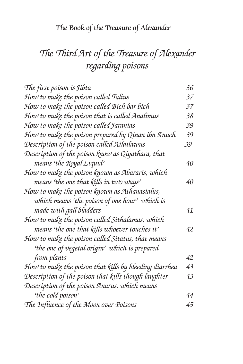# *The Third Art of the Treasure of Alexander regarding poisons*

| The first poison is Jibta                              | 36 |
|--------------------------------------------------------|----|
| How to make the poison called Talius                   | 37 |
| How to make the poison called Bich bar bich            | 37 |
| How to make the poison that is called Analimus         | 38 |
| How to make the poison called Jaranias                 | 39 |
| How to make the poison prepared by Qinan ibn Anuch     | 39 |
| Description of the poison called Ailailawus            | 39 |
| Description of the poison know as Qiyathara, that      |    |
| means 'the Royal Liquid'                               | 40 |
| How to make the poison known as Abararis, which        |    |
| means 'the one that kills in two ways'                 | 40 |
| How to make the poison known as Athanasialus,          |    |
| which means 'the poison of one hour' which is          |    |
| made with gall bladders                                | 41 |
| How to make the poison called Sithalamas, which        |    |
| means 'the one that kills whoever touches it'          | 42 |
| How to make the poison called Sitatus, that means      |    |
| 'the one of vegetal origin' which is prepared          |    |
| from plants                                            | 42 |
| How to make the poison that kills by bleeding diarrhea | 43 |
| Description of the poison that kills though laughter   | 43 |
| Description of the poison Anarus, which means          |    |
| 'the cold poison'                                      | 44 |
| The Influence of the Moon over Poisons                 | 45 |
|                                                        |    |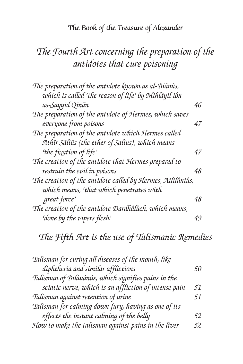## *The Fourth Art concerning the preparation of the antidotes that cure poisoning*

| The preparation of the antidote known as al-Biãnûs,        |    |
|------------------------------------------------------------|----|
| which is called 'the reason of life' by Mihlâyil ibn       |    |
| as-Sayyid Qinãn                                            | 46 |
| The preparation of the antidote of Hermes, which saves     |    |
| everyone from poisons                                      | 47 |
| The preparation of the antidote which Hermes called        |    |
| Athîr Sãliûs (the ether of Salius), which means            |    |
| 'the fixation of life'                                     | 47 |
| The creation of the antidote that Hermes prepared to       |    |
| restrain the evil in poisons                               | 48 |
| The creation of the antidote called by Hermes, Aililûniûs, |    |
| which means, 'that which penetrates with                   |    |
| great force'                                               | 48 |
| The creation of the antidote Dardhâlûch, which means,      |    |
| 'done by the vipers flesh'                                 | 49 |
|                                                            |    |

# *The Fifth Art is the use of Talismanic Remedies*

| Talisman for curing all diseases of the mouth, like   |           |
|-------------------------------------------------------|-----------|
| diphtheria and similar afflictions                    | <i>50</i> |
| Talisman of Bilâuânûs, which signifies pains in the   |           |
| sciatic nerve, which is an affliction of intense pain | 51        |
| Talisman against retention of urine                   | 51        |
| Talisman for calming down fury, having as one of its  |           |
| effects the instant calming of the belly              | 52        |
| How to make the talisman against pains in the liver   | 52        |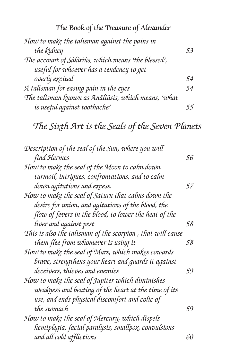| How to make the talisman against the pains in       |    |
|-----------------------------------------------------|----|
| the kidney                                          | 53 |
| The account of Sâlâriûs, which means 'the blessed', |    |
| useful for whoever has a tendency to get            |    |
| overly excited                                      | 54 |
| A talisman for easing pain in the eyes              | 54 |
| The talisman known as Anâliûsis, which means, 'what |    |
| is useful against toothache'                        |    |

*The Sixth Art is the Seals of the Seven Planets*

| Description of the seal of the Sun, where you will          |    |
|-------------------------------------------------------------|----|
| find Hermes                                                 | 56 |
| How to make the seal of the Moon to calm down               |    |
| turmoil, intrigues, confrontations, and to calm             |    |
| down agitations and excess.                                 | 57 |
| How to make the seal of Saturn that calms down the          |    |
| desire for union, and agitations of the blood, the          |    |
| flow of fevers in the blood, to lower the heat of the       |    |
| liver and against pest                                      | 58 |
| This is also the talisman of the scorpion , that will cause |    |
| them flee from whomever is using it                         | 58 |
| How to make the seal of Mars, which makes cowards           |    |
| brave, strengthens your heart and guards it against         |    |
| deceivers, thieves and enemies                              | 59 |
| How to make the seal of Jupiter which diminishes            |    |
| weakness and beating of the heart at the time of its        |    |
| use, and ends physical discomfort and colic of              |    |
| the stomach                                                 | 59 |
| How to make the seal of Mercury, which dispels              |    |
| hemiplegia, facial paralysis, smallpo $\chi$ , convulsions  |    |
| and all cold afflictions                                    | 60 |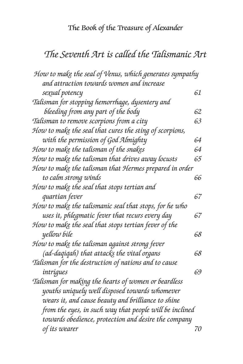## *The Seventh Art is called the Talismanic Art*

| How to make the seal of Venus, which generates sympathy |    |
|---------------------------------------------------------|----|
| and attraction towards women and increase               |    |
| sexual potency                                          | 61 |
| Talisman for stopping hemorrhage, dysentery and         |    |
| bleeding from any part of the body                      | 62 |
| Talisman to remove scorpions from a city                | 63 |
| How to make the seal that cures the sting of scorpions, |    |
| with the permission of God Almighty                     | 64 |
| How to make the talisman of the snakes                  | 64 |
| How to make the talisman that drives away locusts       | 65 |
| How to make the talisman that Hermes prepared in order  |    |
| to calm strong winds                                    | 66 |
| How to make the seal that stops tertian and             |    |
| quartian fever                                          | 67 |
| How to make the talismanic seal that stops, for he who  |    |
| uses it, phlegmatic fever that recurs every day         | 67 |
| How to make the seal that stops tertian fever of the    |    |
| yellow bile                                             | 68 |
| How to make the talisman against strong fever           |    |
| (ad-daqiqah) that attacks the vital organs              | 68 |
| Talisman for the destruction of nations and to cause    |    |
| intrigues                                               | 69 |
| Talisman for making the hearts of women or beardless    |    |
| youths uniquely well disposed towards whomever          |    |
| wears it, and cause beauty and brilliance to shine      |    |
| from the eyes, in such way that people will be inclined |    |
| towards obedience, protection and desire the company    |    |
| of its wearer                                           | 70 |
|                                                         |    |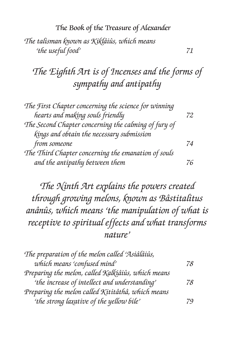The Book of the Treasure of Alexander *The talisman known as Kiklâiûs, which means 'the useful food' 71*

# *The Eighth Art is of Incenses and the forms of sympathy and antipathy*

| The First Chapter concerning the science for winning |    |
|------------------------------------------------------|----|
| hearts and making souls friendly                     | 72 |
| The Second Chapter concerning the calming of fury of |    |
| kings and obtain the necessary submission            |    |
| from someone                                         | 74 |
| The Third Chapter concerning the emanation of souls  |    |
| and the antipathy between them                       |    |

*The Ninth Art explains the powers created through growing melons, known as Bâstitalitus anânûs, which means 'the manipulation of what is receptive to spiritual effects and what transforms nature'*

| The preparation of the melon called 'Asiâlâiûs,    |    |
|----------------------------------------------------|----|
| which means 'confused mind'                        | 78 |
| Preparing the melon, called Kalkiâiûs, which means |    |
| 'the increase of intellect and understanding'      | 78 |
| Preparing the melon called Kititâthâ, which means  |    |
| 'the strong laxative of the yellow bile'           | 79 |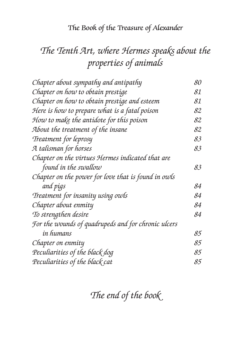# *The Tenth Art, where Hermes speaks about the properties of animals*

| Chapter about sympathy and antipathy                | 80 |
|-----------------------------------------------------|----|
| Chapter on how to obtain prestige                   | 81 |
| Chapter on how to obtain prestige and esteem        | 81 |
| Here is how to prepare what is a fatal poison       | 82 |
| How to make the antidote for this poison            | 82 |
| About the treatment of the insane                   | 82 |
| Treatment for leprosy                               | 83 |
| A talisman for horses                               | 83 |
| Chapter on the virtues Hermes indicated that are    |    |
| found in the swallow                                | 83 |
| Chapter on the power for love that is found in owls |    |
| and pigs                                            | 84 |
| Treatment for insanity using owls                   | 84 |
| Chapter about enmity                                | 84 |
| To strengthen desire                                | 84 |
| For the wounds of quadrupeds and for chronic ulcers |    |
| in humans                                           | 85 |
| Chapter on enmity                                   | 85 |
| Peculiarities of the black dog                      | 85 |
| Peculiarities of the black cat                      | 85 |

*The end of the book*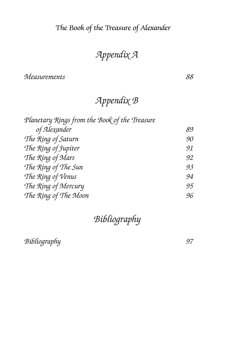# *Appendix A*

*Measurements 88*

# *Appendix B*

| Planetary Rings from the Book of the Treasure |    |
|-----------------------------------------------|----|
| of Alexander                                  | 89 |
| The Ring of Saturn                            | 90 |
| The Ring of Jupiter                           | 91 |
| The Ring of Mars                              | 92 |
| The Ring of The Sun                           | 93 |
| The Ring of Venus                             | 94 |
| The Ring of Mercury                           | 95 |
| The Ring of The Moon                          | 96 |

## *Bibliography*

*Bibliography 97*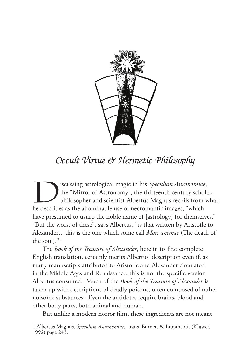

## *Occult Virtue & Hermetic Philosophy*

Iscussing astrological magic in his *Speculum Astronomiae*, the "Mirror of Astronomy", the thirteenth century schola philosopher and scientist Albertus Magnus recoils from what describes as the abominable use of necromenti the "Mirror of Astronomy", the thirteenth century scholar, philosopher and scientist Albertus Magnus recoils from what he describes as the abominable use of necromantic images, "which have presumed to usurp the noble name of [astrology] for themselves." "But the worst of these", says Albertus, "is that written by Aristotle to Alexander…this is the one which some call *Mors animae* (The death of the soul)."1

The *Book of the Treasure of Alexander*, here in its first complete English translation, certainly merits Albertus' description even if, as many manuscripts attributed to Aristotle and Alexander circulated in the Middle Ages and Renaissance, this is not the specific version Albertus consulted. Much of the *Book of the Treasure of Alexander* is taken up with descriptions of deadly poisons, often composed of rather noisome substances. Even the antidotes require brains, blood and other body parts, both animal and human.

But unlike a modern horror film, these ingredients are not meant

<sup>1</sup> Albertus Magnus, *Speculum Astronomiae*, trans*.* Burnett & Lippincott, (Kluwer, 1992) page 243.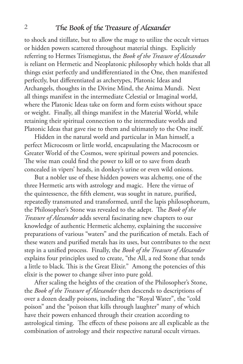to shock and titillate, but to allow the mage to utilize the occult virtues or hidden powers scattered throughout material things. Explicitly referring to Hermes Trismegistus, the *Book of the Treasure of Alexander*  is reliant on Hermetic and Neoplatonic philosophy which holds that all things exist perfectly and undifferentiated in the One, then manifested perfectly, but differentiated as archetypes, Platonic Ideas and Archangels, thoughts in the Divine Mind, the Anima Mundi. Next all things manifest in the intermediate Celestial or Imaginal world, where the Platonic Ideas take on form and form exists without space or weight. Finally, all things manifest in the Material World, while retaining their spiritual connection to the intermediate worlds and Platonic Ideas that gave rise to them and ultimately to the One itself.

Hidden in the natural world and particular in Man himself, a perfect Microcosm or little world, encapsulating the Macrocosm or Greater World of the Cosmos, were spiritual powers and potencies. The wise man could find the power to kill or to save from death concealed in vipers' heads, in donkey's urine or even wild onions.

But a nobler use of these hidden powers was alchemy, one of the three Hermetic arts with astrology and magic. Here the virtue of the quintessence, the fifth element, was sought in nature, purified, repeatedly transmuted and transformed, until the lapis philosophorum, the Philosopher's Stone was revealed to the adept. The *Book of the Treasure of Alexander* adds several fascinating new chapters to our knowledge of authentic Hermetic alchemy, explaining the successive preparations of various "waters" and the purification of metals. Each of these waters and purified metals has its uses, but contributes to the next step in a unified process. Finally, the *Book of the Treasure of Alexander* explains four principles used to create, "the All, a red Stone that tends a little to black. This is the Great Elixir." Among the potencies of this elixir is the power to change silver into pure gold.

After scaling the heights of the creation of the Philosopher's Stone, the *Book of the Treasure of Alexander* then descends to descriptions of over a dozen deadly poisons, including the "Royal Water", the "cold poison" and the "poison that kills through laughter" many of which have their powers enhanced through their creation according to astrological timing. The effects of these poisons are all explicable as the combination of astrology and their respective natural occult virtues.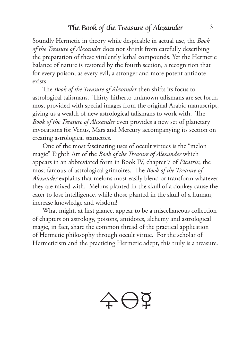Soundly Hermetic in theory while despicable in actual use, the *Book of the Treasure of Alexander* does not shrink from carefully describing the preparation of these virulently lethal compounds. Yet the Hermetic balance of nature is restored by the fourth section, a recognition that for every poison, as every evil, a stronger and more potent antidote exists.

The *Book of the Treasure of Alexander* then shifts its focus to astrological talismans. Thirty hitherto unknown talismans are set forth, most provided with special images from the original Arabic manuscript, giving us a wealth of new astrological talismans to work with. The *Book of the Treasure of Alexander* even provides a new set of planetary invocations for Venus, Mars and Mercury accompanying its section on creating astrological statuettes.

One of the most fascinating uses of occult virtues is the "melon magic" Eighth Art of the *Book of the Treasure of Alexander* which appears in an abbreviated form in Book IV, chapter 7 of *Picatrix*, the most famous of astrological grimoires. The *Book of the Treasure of Alexander* explains that melons most easily blend or transform whatever they are mixed with. Melons planted in the skull of a donkey cause the eater to lose intelligence, while those planted in the skull of a human, increase knowledge and wisdom!

What might, at first glance, appear to be a miscellaneous collection of chapters on astrology, poisons, antidotes, alchemy and astrological magic, in fact, share the common thread of the practical application of Hermetic philosophy through occult virtue. For the scholar of Hermeticism and the practicing Hermetic adept, this truly is a treasure.

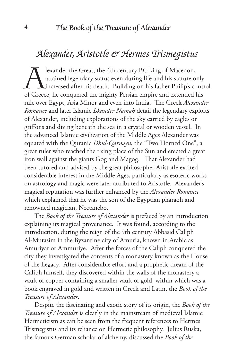#### *Alexander, Aristotle & Hermes Trismegistus*

Jexander the Great, the 4th century BC king of Macedon,<br>attained legendary status even during life and his stature of<br>increased after his death. Building on his father Philip's co<br>of Greece, he conquered the mighty Persian attained legendary status even during life and his stature only increased after his death. Building on his father Philip's control of Greece, he conquered the mighty Persian empire and extended his rule over Egypt, Asia Minor and even into India. The Greek *Alexander Romance* and later Islamic *Iskander Namah* detail the legendary exploits of Alexander, including explorations of the sky carried by eagles or griffons and diving beneath the sea in a crystal or wooden vessel. In the advanced Islamic civilization of the Middle Ages Alexander was equated with the Quranic *Dhul-Qarnayn*, the "Two Horned One", a great ruler who reached the rising place of the Sun and erected a great iron wall against the giants Gog and Magog. That Alexander had been tutored and advised by the great philosopher Aristotle excited considerable interest in the Middle Ages, particularly as esoteric works on astrology and magic were later attributed to Aristotle. Alexander's magical reputation was further enhanced by the *Alexander Romance* which explained that he was the son of the Egyptian pharaoh and renowned magician, Nectanebo.

The *Book of the Treasure of Alexander* is prefaced by an introduction explaining its magical provenance. It was found, according to the introduction, during the reign of the 9th century Abbasid Caliph Al-Mutasim in the Byzantine city of Amuria, known in Arabic as Amuriyat or Ammuriye. After the forces of the Caliph conquered the city they investigated the contents of a monastery known as the House of the Legacy. After considerable effort and a prophetic dream of the Caliph himself, they discovered within the walls of the monastery a vault of copper containing a smaller vault of gold, within which was a book engraved in gold and written in Greek and Latin, the *Book of the Treasure of Alexander*.

Despite the fascinating and exotic story of its origin, the *Book of the Treasure of Alexander* is clearly in the mainstream of medieval Islamic Hermeticism as can be seen from the frequent references to Hermes Trismegistus and its reliance on Hermetic philosophy. Julius Ruska, the famous German scholar of alchemy, discussed the *Book of the*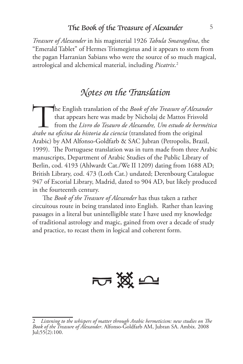*Treasure of Alexander* in his magisterial 1926 *Tabula Smaragdina*, the "Emerald Tablet" of Hermes Trismegistus and it appears to stem from the pagan Harranian Sabians who were the source of so much magical, astrological and alchemical material, including *Picatrix*. 2

#### *Notes on the Translation*

The English translation of the *Book of the Treasure of Alexander*<br>that appears here was made by Nicholaj de Mattos Frisvold<br>from the *Livro do Tesauro de Alexandre*, *Um estudo de hermética*<br>de proposa de historia de cien that appears here was made by Nicholaj de Mattos Frisvold from the *Livro do Tesauro de Alexandre, Um estudo de hermética árabe na oficina da historia da ciencia* (translated from the original Arabic) by AM Alfonso-Goldfarb & SAC Jubran (Petropolis, Brazil, 1999). The Portuguese translation was in turn made from three Arabic manuscripts, Department of Arabic Studies of the Public Library of Berlin, cod. 4193 (Ahlwardt Cat./We II 1209) dating from 1688 AD; British Library, cod. 473 (Loth Cat.) undated; Derenbourg Catalogue 947 of Escorial Library, Madrid, dated to 904 AD, but likely produced in the fourteenth century.

The *Book of the Treasure of Alexander* has thus taken a rather circuitous route in being translated into English. Rather than leaving passages in a literal but unintelligible state I have used my knowledge of traditional astrology and magic, gained from over a decade of study and practice, to recast them in logical and coherent form.



<sup>2</sup> *Listening to the whispers of matter through Arabic hermeticism: new studies on The Book of the Treasure of Alexander*. Alfonso-Goldfarb AM, Jubran SA. Ambix. 2008  $Jul; 55(2): 100.$